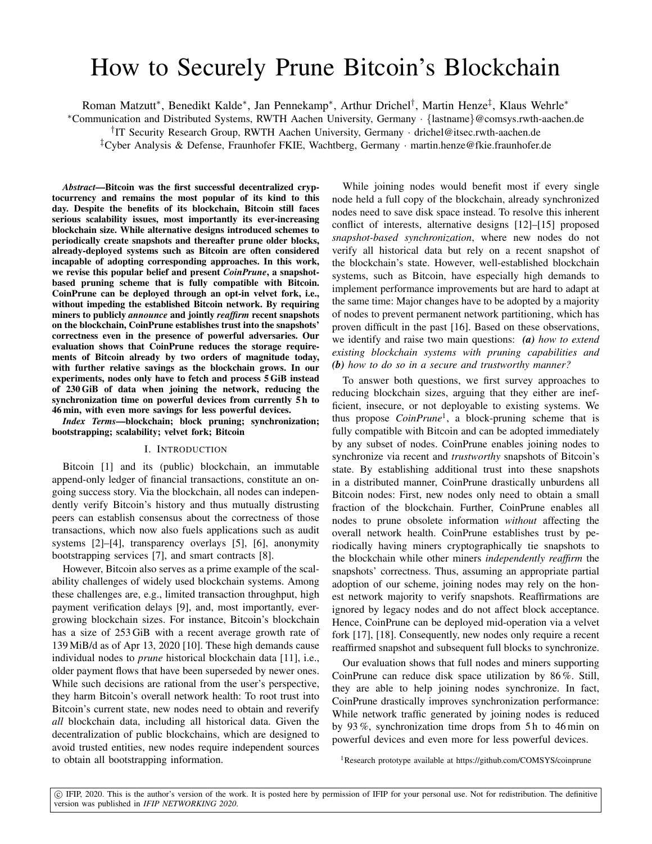# How to Securely Prune Bitcoin's Blockchain

Roman Matzutt\*, Benedikt Kalde\*, Jan Pennekamp\*, Arthur Drichel<sup>†</sup>, Martin Henze<sup>‡</sup>, Klaus Wehrle\*

<sup>∗</sup>Communication and Distributed Systems, RWTH Aachen University, Germany · {lastname}@comsys.rwth-aachen.de

† IT Security Research Group, RWTH Aachen University, Germany · drichel@itsec.rwth-aachen.de

‡Cyber Analysis & Defense, Fraunhofer FKIE, Wachtberg, Germany · martin.henze@fkie.fraunhofer.de

*Abstract*—Bitcoin was the first successful decentralized cryptocurrency and remains the most popular of its kind to this day. Despite the benefits of its blockchain, Bitcoin still faces serious scalability issues, most importantly its ever-increasing blockchain size. While alternative designs introduced schemes to periodically create snapshots and thereafter prune older blocks, already-deployed systems such as Bitcoin are often considered incapable of adopting corresponding approaches. In this work, we revise this popular belief and present *CoinPrune*, a snapshotbased pruning scheme that is fully compatible with Bitcoin. CoinPrune can be deployed through an opt-in velvet fork, i.e., without impeding the established Bitcoin network. By requiring miners to publicly *announce* and jointly *reaffirm* recent snapshots on the blockchain, CoinPrune establishes trust into the snapshots' correctness even in the presence of powerful adversaries. Our evaluation shows that CoinPrune reduces the storage requirements of Bitcoin already by two orders of magnitude today, with further relative savings as the blockchain grows. In our experiments, nodes only have to fetch and process 5 GiB instead of 230 GiB of data when joining the network, reducing the synchronization time on powerful devices from currently 5 h to 46 min, with even more savings for less powerful devices.

*Index Terms*—blockchain; block pruning; synchronization; bootstrapping; scalability; velvet fork; Bitcoin

### I. INTRODUCTION

Bitcoin [\[1\]](#page-8-0) and its (public) blockchain, an immutable append-only ledger of financial transactions, constitute an ongoing success story. Via the blockchain, all nodes can independently verify Bitcoin's history and thus mutually distrusting peers can establish consensus about the correctness of those transactions, which now also fuels applications such as audit systems [\[2\]](#page-8-1)–[\[4\]](#page-8-2), transparency overlays [\[5\]](#page-8-3), [\[6\]](#page-8-4), anonymity bootstrapping services [\[7\]](#page-8-5), and smart contracts [\[8\]](#page-8-6).

However, Bitcoin also serves as a prime example of the scalability challenges of widely used blockchain systems. Among these challenges are, e.g., limited transaction throughput, high payment verification delays [\[9\]](#page-8-7), and, most importantly, evergrowing blockchain sizes. For instance, Bitcoin's blockchain has a size of 253 GiB with a recent average growth rate of 139 MiB/d as of Apr 13, 2020 [\[10\]](#page-8-8). These high demands cause individual nodes to *prune* historical blockchain data [\[11\]](#page-8-9), i.e., older payment flows that have been superseded by newer ones. While such decisions are rational from the user's perspective, they harm Bitcoin's overall network health: To root trust into Bitcoin's current state, new nodes need to obtain and reverify *all* blockchain data, including all historical data. Given the decentralization of public blockchains, which are designed to avoid trusted entities, new nodes require independent sources to obtain all bootstrapping information.

While joining nodes would benefit most if every single node held a full copy of the blockchain, already synchronized nodes need to save disk space instead. To resolve this inherent conflict of interests, alternative designs [\[12\]](#page-8-10)–[\[15\]](#page-8-11) proposed *snapshot-based synchronization*, where new nodes do not verify all historical data but rely on a recent snapshot of the blockchain's state. However, well-established blockchain systems, such as Bitcoin, have especially high demands to implement performance improvements but are hard to adapt at the same time: Major changes have to be adopted by a majority of nodes to prevent permanent network partitioning, which has proven difficult in the past [\[16\]](#page-8-12). Based on these observations, we identify and raise two main questions: *(a) how to extend existing blockchain systems with pruning capabilities and (b) how to do so in a secure and trustworthy manner?*

To answer both questions, we first survey approaches to reducing blockchain sizes, arguing that they either are inefficient, insecure, or not deployable to existing systems. We thus propose *CoinPrune*[1](#page-0-0) , a block-pruning scheme that is fully compatible with Bitcoin and can be adopted immediately by any subset of nodes. CoinPrune enables joining nodes to synchronize via recent and *trustworthy* snapshots of Bitcoin's state. By establishing additional trust into these snapshots in a distributed manner, CoinPrune drastically unburdens all Bitcoin nodes: First, new nodes only need to obtain a small fraction of the blockchain. Further, CoinPrune enables all nodes to prune obsolete information *without* affecting the overall network health. CoinPrune establishes trust by periodically having miners cryptographically tie snapshots to the blockchain while other miners *independently reaffirm* the snapshots' correctness. Thus, assuming an appropriate partial adoption of our scheme, joining nodes may rely on the honest network majority to verify snapshots. Reaffirmations are ignored by legacy nodes and do not affect block acceptance. Hence, CoinPrune can be deployed mid-operation via a velvet fork [\[17\]](#page-8-13), [\[18\]](#page-8-14). Consequently, new nodes only require a recent reaffirmed snapshot and subsequent full blocks to synchronize.

Our evaluation shows that full nodes and miners supporting CoinPrune can reduce disk space utilization by 86 %. Still, they are able to help joining nodes synchronize. In fact, CoinPrune drastically improves synchronization performance: While network traffic generated by joining nodes is reduced by 93 %, synchronization time drops from 5 h to 46 min on powerful devices and even more for less powerful devices.

<span id="page-0-0"></span><sup>1</sup>Research prototype available at<https://github.com/COMSYS/coinprune>

c IFIP, 2020. This is the author's version of the work. It is posted here by permission of IFIP for your personal use. Not for redistribution. The definitive version was published in *IFIP NETWORKING 2020*.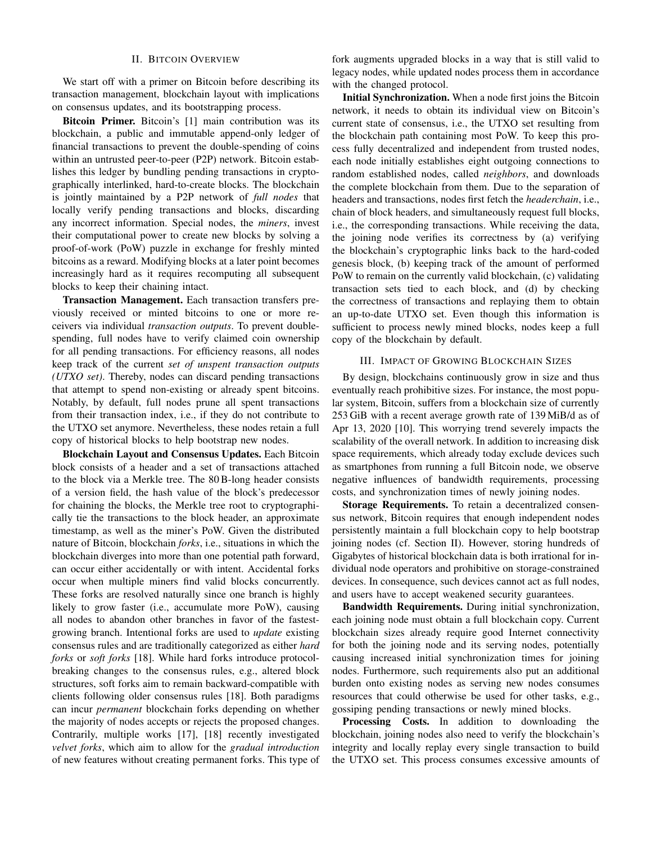## II. BITCOIN OVERVIEW

<span id="page-1-0"></span>We start off with a primer on Bitcoin before describing its transaction management, blockchain layout with implications on consensus updates, and its bootstrapping process.

Bitcoin Primer. Bitcoin's [\[1\]](#page-8-0) main contribution was its blockchain, a public and immutable append-only ledger of financial transactions to prevent the double-spending of coins within an untrusted peer-to-peer (P2P) network. Bitcoin establishes this ledger by bundling pending transactions in cryptographically interlinked, hard-to-create blocks. The blockchain is jointly maintained by a P2P network of *full nodes* that locally verify pending transactions and blocks, discarding any incorrect information. Special nodes, the *miners*, invest their computational power to create new blocks by solving a proof-of-work (PoW) puzzle in exchange for freshly minted bitcoins as a reward. Modifying blocks at a later point becomes increasingly hard as it requires recomputing all subsequent blocks to keep their chaining intact.

Transaction Management. Each transaction transfers previously received or minted bitcoins to one or more receivers via individual *transaction outputs*. To prevent doublespending, full nodes have to verify claimed coin ownership for all pending transactions. For efficiency reasons, all nodes keep track of the current *set of unspent transaction outputs (UTXO set)*. Thereby, nodes can discard pending transactions that attempt to spend non-existing or already spent bitcoins. Notably, by default, full nodes prune all spent transactions from their transaction index, i.e., if they do not contribute to the UTXO set anymore. Nevertheless, these nodes retain a full copy of historical blocks to help bootstrap new nodes.

Blockchain Layout and Consensus Updates. Each Bitcoin block consists of a header and a set of transactions attached to the block via a Merkle tree. The 80 B-long header consists of a version field, the hash value of the block's predecessor for chaining the blocks, the Merkle tree root to cryptographically tie the transactions to the block header, an approximate timestamp, as well as the miner's PoW. Given the distributed nature of Bitcoin, blockchain *forks*, i.e., situations in which the blockchain diverges into more than one potential path forward, can occur either accidentally or with intent. Accidental forks occur when multiple miners find valid blocks concurrently. These forks are resolved naturally since one branch is highly likely to grow faster (i.e., accumulate more PoW), causing all nodes to abandon other branches in favor of the fastestgrowing branch. Intentional forks are used to *update* existing consensus rules and are traditionally categorized as either *hard forks* or *soft forks* [\[18\]](#page-8-14). While hard forks introduce protocolbreaking changes to the consensus rules, e.g., altered block structures, soft forks aim to remain backward-compatible with clients following older consensus rules [\[18\]](#page-8-14). Both paradigms can incur *permanent* blockchain forks depending on whether the majority of nodes accepts or rejects the proposed changes. Contrarily, multiple works [\[17\]](#page-8-13), [\[18\]](#page-8-14) recently investigated *velvet forks*, which aim to allow for the *gradual introduction* of new features without creating permanent forks. This type of

fork augments upgraded blocks in a way that is still valid to legacy nodes, while updated nodes process them in accordance with the changed protocol.

Initial Synchronization. When a node first joins the Bitcoin network, it needs to obtain its individual view on Bitcoin's current state of consensus, i.e., the UTXO set resulting from the blockchain path containing most PoW. To keep this process fully decentralized and independent from trusted nodes, each node initially establishes eight outgoing connections to random established nodes, called *neighbors*, and downloads the complete blockchain from them. Due to the separation of headers and transactions, nodes first fetch the *headerchain*, i.e., chain of block headers, and simultaneously request full blocks, i.e., the corresponding transactions. While receiving the data, the joining node verifies its correctness by (a) verifying the blockchain's cryptographic links back to the hard-coded genesis block, (b) keeping track of the amount of performed PoW to remain on the currently valid blockchain, (c) validating transaction sets tied to each block, and (d) by checking the correctness of transactions and replaying them to obtain an up-to-date UTXO set. Even though this information is sufficient to process newly mined blocks, nodes keep a full copy of the blockchain by default.

# III. IMPACT OF GROWING BLOCKCHAIN SIZES

<span id="page-1-1"></span>By design, blockchains continuously grow in size and thus eventually reach prohibitive sizes. For instance, the most popular system, Bitcoin, suffers from a blockchain size of currently 253 GiB with a recent average growth rate of 139 MiB/d as of Apr 13, 2020 [\[10\]](#page-8-8). This worrying trend severely impacts the scalability of the overall network. In addition to increasing disk space requirements, which already today exclude devices such as smartphones from running a full Bitcoin node, we observe negative influences of bandwidth requirements, processing costs, and synchronization times of newly joining nodes.

Storage Requirements. To retain a decentralized consensus network, Bitcoin requires that enough independent nodes persistently maintain a full blockchain copy to help bootstrap joining nodes (cf. Section [II\)](#page-1-0). However, storing hundreds of Gigabytes of historical blockchain data is both irrational for individual node operators and prohibitive on storage-constrained devices. In consequence, such devices cannot act as full nodes, and users have to accept weakened security guarantees.

Bandwidth Requirements. During initial synchronization, each joining node must obtain a full blockchain copy. Current blockchain sizes already require good Internet connectivity for both the joining node and its serving nodes, potentially causing increased initial synchronization times for joining nodes. Furthermore, such requirements also put an additional burden onto existing nodes as serving new nodes consumes resources that could otherwise be used for other tasks, e.g., gossiping pending transactions or newly mined blocks.

Processing Costs. In addition to downloading the blockchain, joining nodes also need to verify the blockchain's integrity and locally replay every single transaction to build the UTXO set. This process consumes excessive amounts of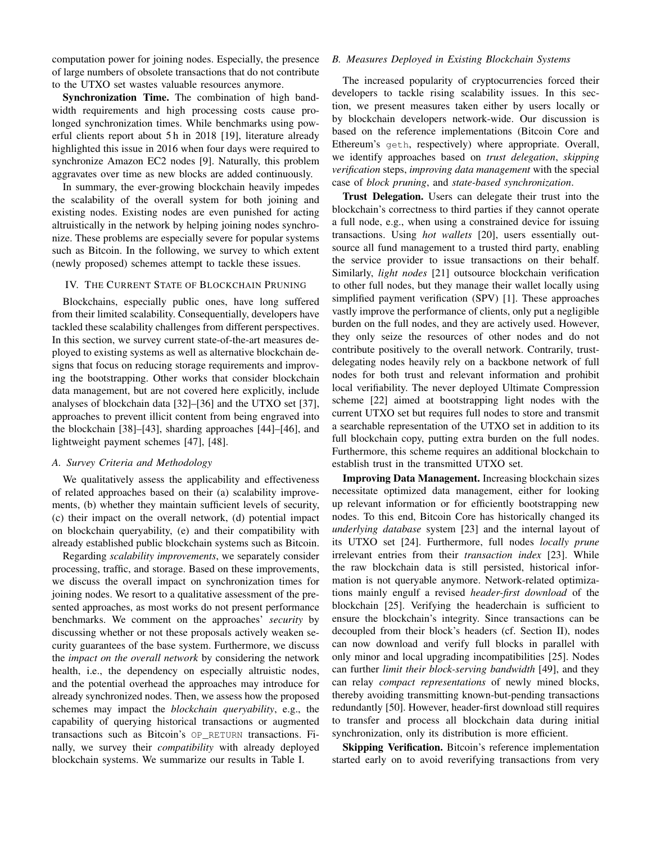computation power for joining nodes. Especially, the presence of large numbers of obsolete transactions that do not contribute to the UTXO set wastes valuable resources anymore.

Synchronization Time. The combination of high bandwidth requirements and high processing costs cause prolonged synchronization times. While benchmarks using powerful clients report about 5 h in 2018 [\[19\]](#page-8-15), literature already highlighted this issue in 2016 when four days were required to synchronize Amazon EC2 nodes [\[9\]](#page-8-7). Naturally, this problem aggravates over time as new blocks are added continuously.

In summary, the ever-growing blockchain heavily impedes the scalability of the overall system for both joining and existing nodes. Existing nodes are even punished for acting altruistically in the network by helping joining nodes synchronize. These problems are especially severe for popular systems such as Bitcoin. In the following, we survey to which extent (newly proposed) schemes attempt to tackle these issues.

# IV. THE CURRENT STATE OF BLOCKCHAIN PRUNING

Blockchains, especially public ones, have long suffered from their limited scalability. Consequentially, developers have tackled these scalability challenges from different perspectives. In this section, we survey current state-of-the-art measures deployed to existing systems as well as alternative blockchain designs that focus on reducing storage requirements and improving the bootstrapping. Other works that consider blockchain data management, but are not covered here explicitly, include analyses of blockchain data [\[32\]](#page-8-16)–[\[36\]](#page-8-17) and the UTXO set [\[37\]](#page-8-18), approaches to prevent illicit content from being engraved into the blockchain [\[38\]](#page-8-19)–[\[43\]](#page-8-20), sharding approaches [\[44\]](#page-8-21)–[\[46\]](#page-8-22), and lightweight payment schemes [\[47\]](#page-8-23), [\[48\]](#page-8-24).

### *A. Survey Criteria and Methodology*

We qualitatively assess the applicability and effectiveness of related approaches based on their (a) scalability improvements, (b) whether they maintain sufficient levels of security, (c) their impact on the overall network, (d) potential impact on blockchain queryability, (e) and their compatibility with already established public blockchain systems such as Bitcoin.

Regarding *scalability improvements*, we separately consider processing, traffic, and storage. Based on these improvements, we discuss the overall impact on synchronization times for joining nodes. We resort to a qualitative assessment of the presented approaches, as most works do not present performance benchmarks. We comment on the approaches' *security* by discussing whether or not these proposals actively weaken security guarantees of the base system. Furthermore, we discuss the *impact on the overall network* by considering the network health, i.e., the dependency on especially altruistic nodes, and the potential overhead the approaches may introduce for already synchronized nodes. Then, we assess how the proposed schemes may impact the *blockchain queryability*, e.g., the capability of querying historical transactions or augmented transactions such as Bitcoin's OP\_RETURN transactions. Finally, we survey their *compatibility* with already deployed blockchain systems. We summarize our results in Table [I.](#page-3-0)

# <span id="page-2-0"></span>*B. Measures Deployed in Existing Blockchain Systems*

The increased popularity of cryptocurrencies forced their developers to tackle rising scalability issues. In this section, we present measures taken either by users locally or by blockchain developers network-wide. Our discussion is based on the reference implementations (Bitcoin Core and Ethereum's geth, respectively) where appropriate. Overall, we identify approaches based on *trust delegation*, *skipping verification* steps, *improving data management* with the special case of *block pruning*, and *state-based synchronization*.

Trust Delegation. Users can delegate their trust into the blockchain's correctness to third parties if they cannot operate a full node, e.g., when using a constrained device for issuing transactions. Using *hot wallets* [\[20\]](#page-8-25), users essentially outsource all fund management to a trusted third party, enabling the service provider to issue transactions on their behalf. Similarly, *light nodes* [\[21\]](#page-8-26) outsource blockchain verification to other full nodes, but they manage their wallet locally using simplified payment verification (SPV) [\[1\]](#page-8-0). These approaches vastly improve the performance of clients, only put a negligible burden on the full nodes, and they are actively used. However, they only seize the resources of other nodes and do not contribute positively to the overall network. Contrarily, trustdelegating nodes heavily rely on a backbone network of full nodes for both trust and relevant information and prohibit local verifiability. The never deployed Ultimate Compression scheme [\[22\]](#page-8-27) aimed at bootstrapping light nodes with the current UTXO set but requires full nodes to store and transmit a searchable representation of the UTXO set in addition to its full blockchain copy, putting extra burden on the full nodes. Furthermore, this scheme requires an additional blockchain to establish trust in the transmitted UTXO set.

Improving Data Management. Increasing blockchain sizes necessitate optimized data management, either for looking up relevant information or for efficiently bootstrapping new nodes. To this end, Bitcoin Core has historically changed its *underlying database* system [\[23\]](#page-8-28) and the internal layout of its UTXO set [\[24\]](#page-8-29). Furthermore, full nodes *locally prune* irrelevant entries from their *transaction index* [\[23\]](#page-8-28). While the raw blockchain data is still persisted, historical information is not queryable anymore. Network-related optimizations mainly engulf a revised *header-first download* of the blockchain [\[25\]](#page-8-30). Verifying the headerchain is sufficient to ensure the blockchain's integrity. Since transactions can be decoupled from their block's headers (cf. Section [II\)](#page-1-0), nodes can now download and verify full blocks in parallel with only minor and local upgrading incompatibilities [\[25\]](#page-8-30). Nodes can further *limit their block-serving bandwidth* [\[49\]](#page-8-31), and they can relay *compact representations* of newly mined blocks, thereby avoiding transmitting known-but-pending transactions redundantly [\[50\]](#page-8-32). However, header-first download still requires to transfer and process all blockchain data during initial synchronization, only its distribution is more efficient.

Skipping Verification. Bitcoin's reference implementation started early on to avoid reverifying transactions from very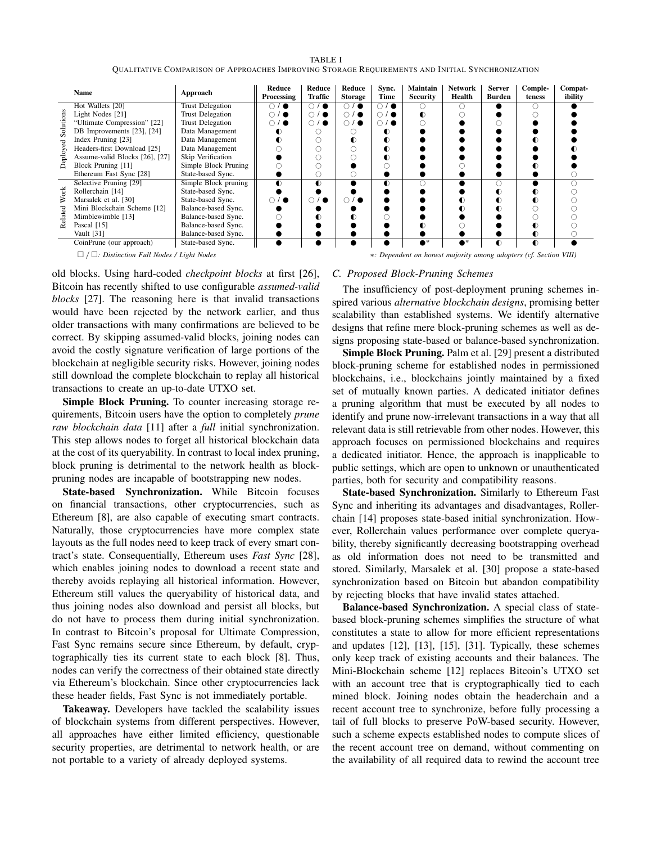<span id="page-3-0"></span>

|                                 | Name                           | Approach                | Reduce<br><b>Processing</b> | Reduce<br><b>Traffic</b> | Reduce<br><b>Storage</b> | Sync.<br>Time          | <b>Maintain</b><br><b>Security</b> | <b>Network</b><br>Health | <b>Server</b><br><b>Burden</b> | Comple-<br>teness | Compat-<br>ibility |
|---------------------------------|--------------------------------|-------------------------|-----------------------------|--------------------------|--------------------------|------------------------|------------------------------------|--------------------------|--------------------------------|-------------------|--------------------|
| Solutions<br>₹<br>Deploye       | Hot Wallets [20]               | <b>Trust Delegation</b> | $\bigcirc$<br>/ ●           | $\bigcirc$ / $\bullet$   | $\bigcirc$<br>$\bullet$  | $\bigcirc$ / $\bullet$ |                                    |                          |                                |                   |                    |
|                                 | Light Nodes [21]               | <b>Trust Delegation</b> | $\bigcirc$ / $\bullet$      | $\bigcirc$ / $\bullet$   | $\bigcirc$<br>$\bullet$  | ∩ / ●                  |                                    |                          |                                |                   |                    |
|                                 | "Ultimate Compression" [22]    | <b>Trust Delegation</b> | $\bigcirc$ / $\bullet$      | $\bigcirc$ / $\bullet$   | $\circ$ / $\bullet$      | ் / ∎                  |                                    |                          |                                |                   |                    |
|                                 | DB Improvements [23], [24]     | Data Management         | ◐                           | C                        |                          |                        |                                    |                          |                                |                   |                    |
|                                 | Index Pruning [23]             | Data Management         |                             |                          |                          |                        |                                    |                          |                                |                   |                    |
|                                 | Headers-first Download [25]    | Data Management         |                             |                          |                          |                        |                                    |                          |                                |                   |                    |
|                                 | Assume-valid Blocks [26], [27] | Skip Verification       |                             |                          |                          |                        |                                    |                          |                                |                   |                    |
|                                 | Block Pruning [11]             | Simple Block Pruning    |                             |                          |                          |                        |                                    |                          |                                |                   |                    |
|                                 | Ethereum Fast Sync [28]        | State-based Sync.       |                             | O                        |                          |                        |                                    |                          |                                |                   |                    |
| Ť<br>⋧<br>$_{\rm{e1ated}}$<br>∝ | Selective Pruning [29]         | Simple Block pruning    | $\bullet$                   | $\bullet$                |                          |                        |                                    |                          |                                |                   |                    |
|                                 | Rollerchain [14]               | State-based Sync.       |                             |                          |                          |                        |                                    |                          |                                |                   |                    |
|                                 | Marsalek et al. [30]           | State-based Sync.       | $\bigcirc$ / $\bullet$      | $\bigcirc$ / $\bullet$   | $\bigcirc$<br>$\bullet$  |                        |                                    |                          |                                |                   |                    |
|                                 | Mini Blockchain Scheme [12]    | Balance-based Sync.     |                             |                          |                          |                        |                                    |                          |                                |                   |                    |
|                                 | Mimblewimble [13]              | Balance-based Sync.     |                             |                          |                          |                        |                                    |                          |                                |                   |                    |
|                                 | Pascal [15]                    | Balance-based Sync.     |                             |                          |                          |                        |                                    |                          |                                |                   |                    |
|                                 | Vault [31]                     | Balance-based Sync.     |                             |                          |                          |                        |                                    |                          |                                | ◐                 |                    |
|                                 | CoinPrune (our approach)       | State-based Sync.       |                             |                          |                          |                        |                                    |                          | ◐                              | $\bullet$         |                    |

TABLE I QUALITATIVE COMPARISON OF APPROACHES IMPROVING STORAGE REQUIREMENTS AND INITIAL SYNCHRONIZATION

old blocks. Using hard-coded *checkpoint blocks* at first [\[26\]](#page-8-33), Bitcoin has recently shifted to use configurable *assumed-valid blocks* [\[27\]](#page-8-34). The reasoning here is that invalid transactions would have been rejected by the network earlier, and thus older transactions with many confirmations are believed to be correct. By skipping assumed-valid blocks, joining nodes can avoid the costly signature verification of large portions of the blockchain at negligible security risks. However, joining nodes still download the complete blockchain to replay all historical transactions to create an up-to-date UTXO set.

Simple Block Pruning. To counter increasing storage requirements, Bitcoin users have the option to completely *prune raw blockchain data* [\[11\]](#page-8-9) after a *full* initial synchronization. This step allows nodes to forget all historical blockchain data at the cost of its queryability. In contrast to local index pruning, block pruning is detrimental to the network health as blockpruning nodes are incapable of bootstrapping new nodes.

State-based Synchronization. While Bitcoin focuses on financial transactions, other cryptocurrencies, such as Ethereum [\[8\]](#page-8-6), are also capable of executing smart contracts. Naturally, those cryptocurrencies have more complex state layouts as the full nodes need to keep track of every smart contract's state. Consequentially, Ethereum uses *Fast Sync* [\[28\]](#page-8-35), which enables joining nodes to download a recent state and thereby avoids replaying all historical information. However, Ethereum still values the queryability of historical data, and thus joining nodes also download and persist all blocks, but do not have to process them during initial synchronization. In contrast to Bitcoin's proposal for Ultimate Compression, Fast Sync remains secure since Ethereum, by default, cryptographically ties its current state to each block [\[8\]](#page-8-6). Thus, nodes can verify the correctness of their obtained state directly via Ethereum's blockchain. Since other cryptocurrencies lack these header fields, Fast Sync is not immediately portable.

Takeaway. Developers have tackled the scalability issues of blockchain systems from different perspectives. However, all approaches have either limited efficiency, questionable security properties, are detrimental to network health, or are not portable to a variety of already deployed systems.

/ *: Distinction Full Nodes / Light Nodes* ∗*: Dependent on honest majority among adopters (cf. Section [VIII\)](#page-6-0)*

#### <span id="page-3-1"></span>*C. Proposed Block-Pruning Schemes*

The insufficiency of post-deployment pruning schemes inspired various *alternative blockchain designs*, promising better scalability than established systems. We identify alternative designs that refine mere block-pruning schemes as well as designs proposing state-based or balance-based synchronization.

Simple Block Pruning. Palm et al. [\[29\]](#page-8-36) present a distributed block-pruning scheme for established nodes in permissioned blockchains, i.e., blockchains jointly maintained by a fixed set of mutually known parties. A dedicated initiator defines a pruning algorithm that must be executed by all nodes to identify and prune now-irrelevant transactions in a way that all relevant data is still retrievable from other nodes. However, this approach focuses on permissioned blockchains and requires a dedicated initiator. Hence, the approach is inapplicable to public settings, which are open to unknown or unauthenticated parties, both for security and compatibility reasons.

State-based Synchronization. Similarly to Ethereum Fast Sync and inheriting its advantages and disadvantages, Rollerchain [\[14\]](#page-8-37) proposes state-based initial synchronization. However, Rollerchain values performance over complete queryability, thereby significantly decreasing bootstrapping overhead as old information does not need to be transmitted and stored. Similarly, Marsalek et al. [\[30\]](#page-8-38) propose a state-based synchronization based on Bitcoin but abandon compatibility by rejecting blocks that have invalid states attached.

Balance-based Synchronization. A special class of statebased block-pruning schemes simplifies the structure of what constitutes a state to allow for more efficient representations and updates [\[12\]](#page-8-10), [\[13\]](#page-8-39), [\[15\]](#page-8-11), [\[31\]](#page-8-40). Typically, these schemes only keep track of existing accounts and their balances. The Mini-Blockchain scheme [\[12\]](#page-8-10) replaces Bitcoin's UTXO set with an account tree that is cryptographically tied to each mined block. Joining nodes obtain the headerchain and a recent account tree to synchronize, before fully processing a tail of full blocks to preserve PoW-based security. However, such a scheme expects established nodes to compute slices of the recent account tree on demand, without commenting on the availability of all required data to rewind the account tree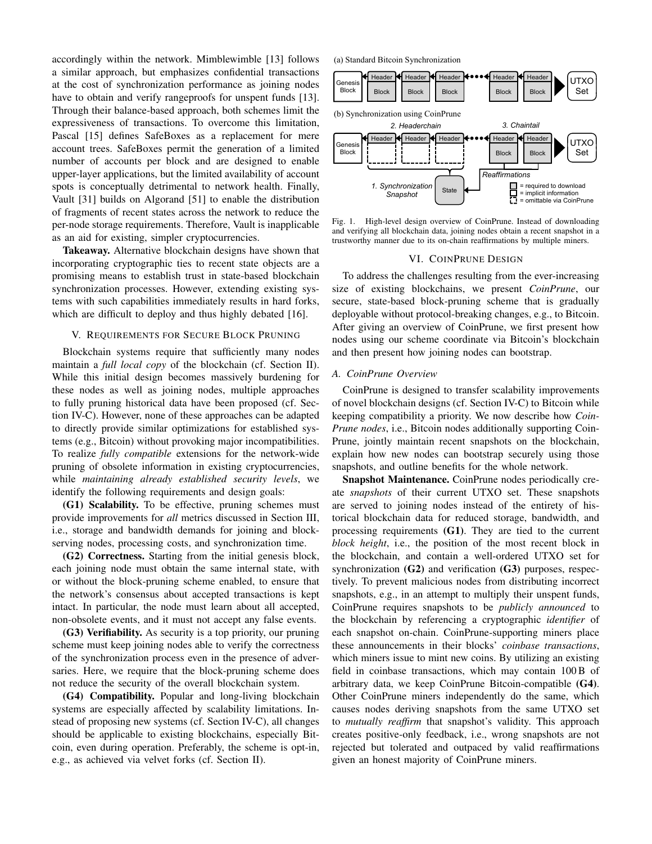accordingly within the network. Mimblewimble [\[13\]](#page-8-39) follows a similar approach, but emphasizes confidential transactions at the cost of synchronization performance as joining nodes have to obtain and verify rangeproofs for unspent funds [\[13\]](#page-8-39). Through their balance-based approach, both schemes limit the expressiveness of transactions. To overcome this limitation, Pascal [\[15\]](#page-8-11) defines SafeBoxes as a replacement for mere account trees. SafeBoxes permit the generation of a limited number of accounts per block and are designed to enable upper-layer applications, but the limited availability of account spots is conceptually detrimental to network health. Finally, Vault [\[31\]](#page-8-40) builds on Algorand [\[51\]](#page-8-41) to enable the distribution of fragments of recent states across the network to reduce the per-node storage requirements. Therefore, Vault is inapplicable as an aid for existing, simpler cryptocurrencies.

Takeaway. Alternative blockchain designs have shown that incorporating cryptographic ties to recent state objects are a promising means to establish trust in state-based blockchain synchronization processes. However, extending existing systems with such capabilities immediately results in hard forks, which are difficult to deploy and thus highly debated [\[16\]](#page-8-12).

# V. REQUIREMENTS FOR SECURE BLOCK PRUNING

Blockchain systems require that sufficiently many nodes maintain a *full local copy* of the blockchain (cf. Section [II\)](#page-1-0). While this initial design becomes massively burdening for these nodes as well as joining nodes, multiple approaches to fully pruning historical data have been proposed (cf. Section [IV-C\)](#page-3-1). However, none of these approaches can be adapted to directly provide similar optimizations for established systems (e.g., Bitcoin) without provoking major incompatibilities. To realize *fully compatible* extensions for the network-wide pruning of obsolete information in existing cryptocurrencies, while *maintaining already established security levels*, we identify the following requirements and design goals:

<span id="page-4-0"></span>([G1\)](#page-4-0) Scalability. To be effective, pruning schemes must provide improvements for *all* metrics discussed in Section [III,](#page-1-1) i.e., storage and bandwidth demands for joining and blockserving nodes, processing costs, and synchronization time.

<span id="page-4-1"></span>([G2\)](#page-4-1) Correctness. Starting from the initial genesis block, each joining node must obtain the same internal state, with or without the block-pruning scheme enabled, to ensure that the network's consensus about accepted transactions is kept intact. In particular, the node must learn about all accepted, non-obsolete events, and it must not accept any false events.

<span id="page-4-2"></span>([G3\)](#page-4-2) Verifiability. As security is a top priority, our pruning scheme must keep joining nodes able to verify the correctness of the synchronization process even in the presence of adversaries. Here, we require that the block-pruning scheme does not reduce the security of the overall blockchain system.

<span id="page-4-3"></span>([G4\)](#page-4-3) Compatibility. Popular and long-living blockchain systems are especially affected by scalability limitations. Instead of proposing new systems (cf. Section [IV-C\)](#page-3-1), all changes should be applicable to existing blockchains, especially Bitcoin, even during operation. Preferably, the scheme is opt-in, e.g., as achieved via velvet forks (cf. Section [II\)](#page-1-0).



<span id="page-4-4"></span>Fig. 1. High-level design overview of CoinPrune. Instead of downloading and verifying all blockchain data, joining nodes obtain a recent snapshot in a trustworthy manner due to its on-chain reaffirmations by multiple miners.

### VI. COINPRUNE DESIGN

To address the challenges resulting from the ever-increasing size of existing blockchains, we present *CoinPrune*, our secure, state-based block-pruning scheme that is gradually deployable without protocol-breaking changes, e.g., to Bitcoin. After giving an overview of CoinPrune, we first present how nodes using our scheme coordinate via Bitcoin's blockchain and then present how joining nodes can bootstrap.

## *A. CoinPrune Overview*

CoinPrune is designed to transfer scalability improvements of novel blockchain designs (cf. Section [IV-C\)](#page-3-1) to Bitcoin while keeping compatibility a priority. We now describe how *Coin-Prune nodes*, i.e., Bitcoin nodes additionally supporting Coin-Prune, jointly maintain recent snapshots on the blockchain, explain how new nodes can bootstrap securely using those snapshots, and outline benefits for the whole network.

Snapshot Maintenance. CoinPrune nodes periodically create *snapshots* of their current UTXO set. These snapshots are served to joining nodes instead of the entirety of historical blockchain data for reduced storage, bandwidth, and processing requirements ([G1\)](#page-4-0). They are tied to the current *block height*, i.e., the position of the most recent block in the blockchain, and contain a well-ordered UTXO set for synchronization ([G2\)](#page-4-1) and verification ([G3\)](#page-4-2) purposes, respectively. To prevent malicious nodes from distributing incorrect snapshots, e.g., in an attempt to multiply their unspent funds, CoinPrune requires snapshots to be *publicly announced* to the blockchain by referencing a cryptographic *identifier* of each snapshot on-chain. CoinPrune-supporting miners place these announcements in their blocks' *coinbase transactions*, which miners issue to mint new coins. By utilizing an existing field in coinbase transactions, which may contain 100 B of arbitrary data, we keep CoinPrune Bitcoin-compatible ([G4\)](#page-4-3). Other CoinPrune miners independently do the same, which causes nodes deriving snapshots from the same UTXO set to *mutually reaffirm* that snapshot's validity. This approach creates positive-only feedback, i.e., wrong snapshots are not rejected but tolerated and outpaced by valid reaffirmations given an honest majority of CoinPrune miners.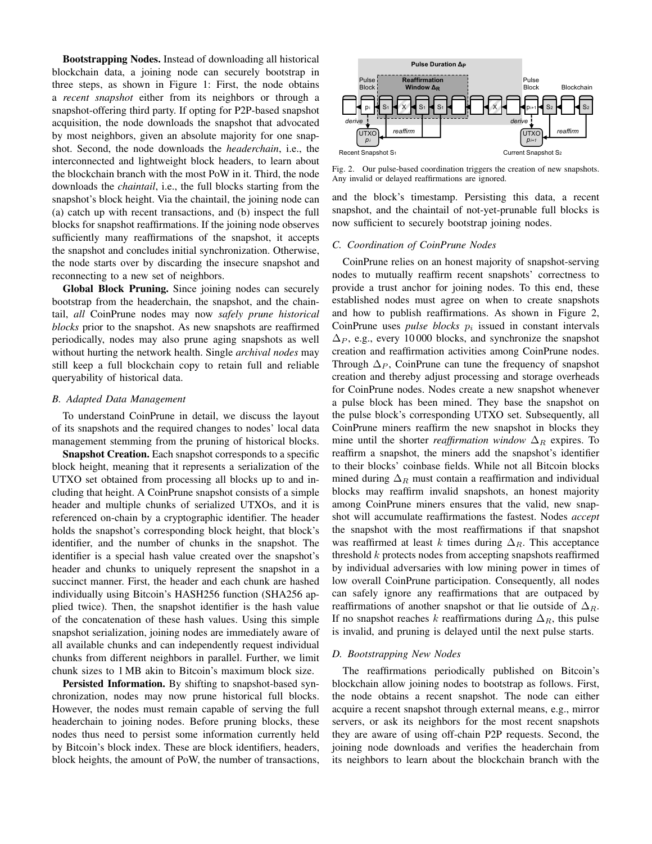Bootstrapping Nodes. Instead of downloading all historical blockchain data, a joining node can securely bootstrap in three steps, as shown in Figure [1:](#page-4-4) First, the node obtains a *recent snapshot* either from its neighbors or through a snapshot-offering third party. If opting for P2P-based snapshot acquisition, the node downloads the snapshot that advocated by most neighbors, given an absolute majority for one snapshot. Second, the node downloads the *headerchain*, i.e., the interconnected and lightweight block headers, to learn about the blockchain branch with the most PoW in it. Third, the node downloads the *chaintail*, i.e., the full blocks starting from the snapshot's block height. Via the chaintail, the joining node can (a) catch up with recent transactions, and (b) inspect the full blocks for snapshot reaffirmations. If the joining node observes sufficiently many reaffirmations of the snapshot, it accepts the snapshot and concludes initial synchronization. Otherwise, the node starts over by discarding the insecure snapshot and reconnecting to a new set of neighbors.

Global Block Pruning. Since joining nodes can securely bootstrap from the headerchain, the snapshot, and the chaintail, *all* CoinPrune nodes may now *safely prune historical blocks* prior to the snapshot. As new snapshots are reaffirmed periodically, nodes may also prune aging snapshots as well without hurting the network health. Single *archival nodes* may still keep a full blockchain copy to retain full and reliable queryability of historical data.

## *B. Adapted Data Management*

To understand CoinPrune in detail, we discuss the layout of its snapshots and the required changes to nodes' local data management stemming from the pruning of historical blocks.

Snapshot Creation. Each snapshot corresponds to a specific block height, meaning that it represents a serialization of the UTXO set obtained from processing all blocks up to and including that height. A CoinPrune snapshot consists of a simple header and multiple chunks of serialized UTXOs, and it is referenced on-chain by a cryptographic identifier. The header holds the snapshot's corresponding block height, that block's identifier, and the number of chunks in the snapshot. The identifier is a special hash value created over the snapshot's header and chunks to uniquely represent the snapshot in a succinct manner. First, the header and each chunk are hashed individually using Bitcoin's HASH256 function (SHA256 applied twice). Then, the snapshot identifier is the hash value of the concatenation of these hash values. Using this simple snapshot serialization, joining nodes are immediately aware of all available chunks and can independently request individual chunks from different neighbors in parallel. Further, we limit chunk sizes to 1 MB akin to Bitcoin's maximum block size.

Persisted Information. By shifting to snapshot-based synchronization, nodes may now prune historical full blocks. However, the nodes must remain capable of serving the full headerchain to joining nodes. Before pruning blocks, these nodes thus need to persist some information currently held by Bitcoin's block index. These are block identifiers, headers, block heights, the amount of PoW, the number of transactions,



<span id="page-5-0"></span>Fig. 2. Our pulse-based coordination triggers the creation of new snapshots. Any invalid or delayed reaffirmations are ignored.

and the block's timestamp. Persisting this data, a recent snapshot, and the chaintail of not-yet-prunable full blocks is now sufficient to securely bootstrap joining nodes.

## *C. Coordination of CoinPrune Nodes*

CoinPrune relies on an honest majority of snapshot-serving nodes to mutually reaffirm recent snapshots' correctness to provide a trust anchor for joining nodes. To this end, these established nodes must agree on when to create snapshots and how to publish reaffirmations. As shown in Figure [2,](#page-5-0) CoinPrune uses  $pulse \ blocks \ p_i$  issued in constant intervals  $\Delta_P$ , e.g., every 10 000 blocks, and synchronize the snapshot creation and reaffirmation activities among CoinPrune nodes. Through  $\Delta_P$ , CoinPrune can tune the frequency of snapshot creation and thereby adjust processing and storage overheads for CoinPrune nodes. Nodes create a new snapshot whenever a pulse block has been mined. They base the snapshot on the pulse block's corresponding UTXO set. Subsequently, all CoinPrune miners reaffirm the new snapshot in blocks they mine until the shorter *reaffirmation window*  $\Delta_R$  expires. To reaffirm a snapshot, the miners add the snapshot's identifier to their blocks' coinbase fields. While not all Bitcoin blocks mined during  $\Delta_R$  must contain a reaffirmation and individual blocks may reaffirm invalid snapshots, an honest majority among CoinPrune miners ensures that the valid, new snapshot will accumulate reaffirmations the fastest. Nodes *accept* the snapshot with the most reaffirmations if that snapshot was reaffirmed at least k times during  $\Delta_R$ . This acceptance threshold  $k$  protects nodes from accepting snapshots reaffirmed by individual adversaries with low mining power in times of low overall CoinPrune participation. Consequently, all nodes can safely ignore any reaffirmations that are outpaced by reaffirmations of another snapshot or that lie outside of  $\Delta_R$ . If no snapshot reaches k reaffirmations during  $\Delta_R$ , this pulse is invalid, and pruning is delayed until the next pulse starts.

#### *D. Bootstrapping New Nodes*

The reaffirmations periodically published on Bitcoin's blockchain allow joining nodes to bootstrap as follows. First, the node obtains a recent snapshot. The node can either acquire a recent snapshot through external means, e.g., mirror servers, or ask its neighbors for the most recent snapshots they are aware of using off-chain P2P requests. Second, the joining node downloads and verifies the headerchain from its neighbors to learn about the blockchain branch with the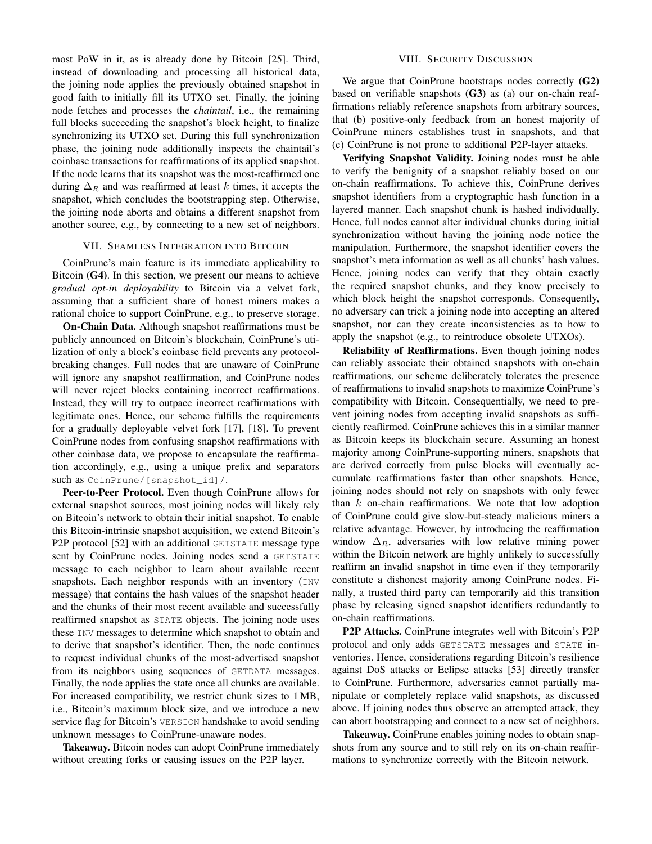most PoW in it, as is already done by Bitcoin [\[25\]](#page-8-30). Third, instead of downloading and processing all historical data, the joining node applies the previously obtained snapshot in good faith to initially fill its UTXO set. Finally, the joining node fetches and processes the *chaintail*, i.e., the remaining full blocks succeeding the snapshot's block height, to finalize synchronizing its UTXO set. During this full synchronization phase, the joining node additionally inspects the chaintail's coinbase transactions for reaffirmations of its applied snapshot. If the node learns that its snapshot was the most-reaffirmed one during  $\Delta_R$  and was reaffirmed at least k times, it accepts the snapshot, which concludes the bootstrapping step. Otherwise, the joining node aborts and obtains a different snapshot from another source, e.g., by connecting to a new set of neighbors.

## VII. SEAMLESS INTEGRATION INTO BITCOIN

CoinPrune's main feature is its immediate applicability to Bitcoin ([G4\)](#page-4-3). In this section, we present our means to achieve *gradual opt-in deployability* to Bitcoin via a velvet fork, assuming that a sufficient share of honest miners makes a rational choice to support CoinPrune, e.g., to preserve storage.

On-Chain Data. Although snapshot reaffirmations must be publicly announced on Bitcoin's blockchain, CoinPrune's utilization of only a block's coinbase field prevents any protocolbreaking changes. Full nodes that are unaware of CoinPrune will ignore any snapshot reaffirmation, and CoinPrune nodes will never reject blocks containing incorrect reaffirmations. Instead, they will try to outpace incorrect reaffirmations with legitimate ones. Hence, our scheme fulfills the requirements for a gradually deployable velvet fork [\[17\]](#page-8-13), [\[18\]](#page-8-14). To prevent CoinPrune nodes from confusing snapshot reaffirmations with other coinbase data, we propose to encapsulate the reaffirmation accordingly, e.g., using a unique prefix and separators such as CoinPrune/[snapshot\_id]/.

Peer-to-Peer Protocol. Even though CoinPrune allows for external snapshot sources, most joining nodes will likely rely on Bitcoin's network to obtain their initial snapshot. To enable this Bitcoin-intrinsic snapshot acquisition, we extend Bitcoin's P2P protocol [\[52\]](#page-8-42) with an additional GETSTATE message type sent by CoinPrune nodes. Joining nodes send a GETSTATE message to each neighbor to learn about available recent snapshots. Each neighbor responds with an inventory (INV) message) that contains the hash values of the snapshot header and the chunks of their most recent available and successfully reaffirmed snapshot as STATE objects. The joining node uses these INV messages to determine which snapshot to obtain and to derive that snapshot's identifier. Then, the node continues to request individual chunks of the most-advertised snapshot from its neighbors using sequences of GETDATA messages. Finally, the node applies the state once all chunks are available. For increased compatibility, we restrict chunk sizes to 1 MB, i.e., Bitcoin's maximum block size, and we introduce a new service flag for Bitcoin's VERSION handshake to avoid sending unknown messages to CoinPrune-unaware nodes.

Takeaway. Bitcoin nodes can adopt CoinPrune immediately without creating forks or causing issues on the P2P layer.

# VIII. SECURITY DISCUSSION

<span id="page-6-0"></span>We argue that CoinPrune bootstraps nodes correctly ([G2\)](#page-4-1) based on verifiable snapshots ([G3\)](#page-4-2) as (a) our on-chain reaffirmations reliably reference snapshots from arbitrary sources, that (b) positive-only feedback from an honest majority of CoinPrune miners establishes trust in snapshots, and that (c) CoinPrune is not prone to additional P2P-layer attacks.

Verifying Snapshot Validity. Joining nodes must be able to verify the benignity of a snapshot reliably based on our on-chain reaffirmations. To achieve this, CoinPrune derives snapshot identifiers from a cryptographic hash function in a layered manner. Each snapshot chunk is hashed individually. Hence, full nodes cannot alter individual chunks during initial synchronization without having the joining node notice the manipulation. Furthermore, the snapshot identifier covers the snapshot's meta information as well as all chunks' hash values. Hence, joining nodes can verify that they obtain exactly the required snapshot chunks, and they know precisely to which block height the snapshot corresponds. Consequently, no adversary can trick a joining node into accepting an altered snapshot, nor can they create inconsistencies as to how to apply the snapshot (e.g., to reintroduce obsolete UTXOs).

Reliability of Reaffirmations. Even though joining nodes can reliably associate their obtained snapshots with on-chain reaffirmations, our scheme deliberately tolerates the presence of reaffirmations to invalid snapshots to maximize CoinPrune's compatibility with Bitcoin. Consequentially, we need to prevent joining nodes from accepting invalid snapshots as sufficiently reaffirmed. CoinPrune achieves this in a similar manner as Bitcoin keeps its blockchain secure. Assuming an honest majority among CoinPrune-supporting miners, snapshots that are derived correctly from pulse blocks will eventually accumulate reaffirmations faster than other snapshots. Hence, joining nodes should not rely on snapshots with only fewer than  $k$  on-chain reaffirmations. We note that low adoption of CoinPrune could give slow-but-steady malicious miners a relative advantage. However, by introducing the reaffirmation window  $\Delta_R$ , adversaries with low relative mining power within the Bitcoin network are highly unlikely to successfully reaffirm an invalid snapshot in time even if they temporarily constitute a dishonest majority among CoinPrune nodes. Finally, a trusted third party can temporarily aid this transition phase by releasing signed snapshot identifiers redundantly to on-chain reaffirmations.

P2P Attacks. CoinPrune integrates well with Bitcoin's P2P protocol and only adds GETSTATE messages and STATE inventories. Hence, considerations regarding Bitcoin's resilience against DoS attacks or Eclipse attacks [\[53\]](#page-8-43) directly transfer to CoinPrune. Furthermore, adversaries cannot partially manipulate or completely replace valid snapshots, as discussed above. If joining nodes thus observe an attempted attack, they can abort bootstrapping and connect to a new set of neighbors.

Takeaway. CoinPrune enables joining nodes to obtain snapshots from any source and to still rely on its on-chain reaffirmations to synchronize correctly with the Bitcoin network.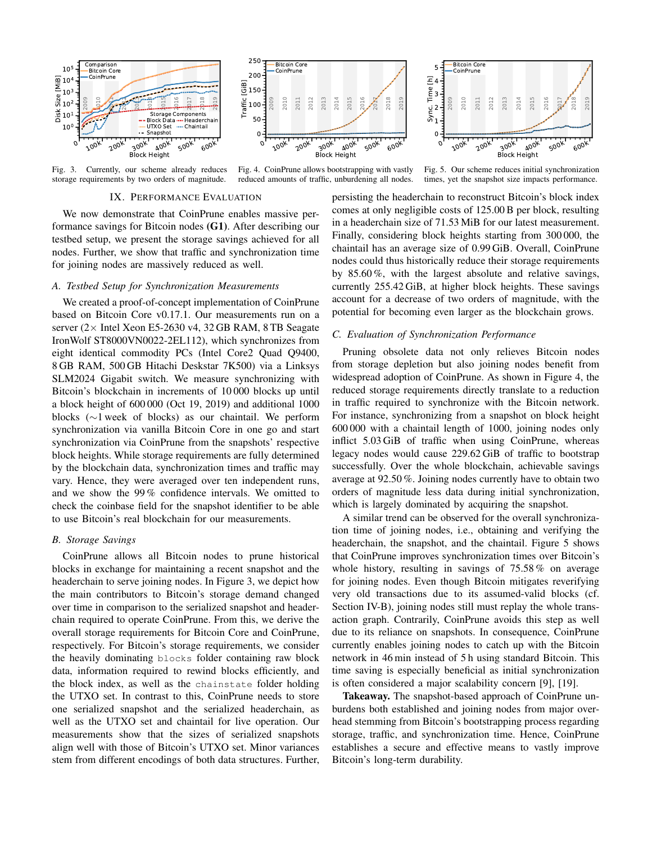

Fig. 3. Currently, our scheme already reduces storage requirements by two orders of magnitude.



<span id="page-7-1"></span>Fig. 4. CoinPrune allows bootstrapping with vastly reduced amounts of traffic, unburdening all nodes.

0100k 200k  $300k$  $400k$ 500k 600k Block Height 0 1 Sync. Time [h]

<span id="page-7-2"></span>Fig. 5. Our scheme reduces initial synchronization times, yet the snapshot size impacts performance.

# <span id="page-7-0"></span>IX. PERFORMANCE EVALUATION

We now demonstrate that CoinPrune enables massive performance savings for Bitcoin nodes ([G1\)](#page-4-0). After describing our testbed setup, we present the storage savings achieved for all nodes. Further, we show that traffic and synchronization time for joining nodes are massively reduced as well.

## *A. Testbed Setup for Synchronization Measurements*

We created a proof-of-concept implementation of CoinPrune based on Bitcoin Core v0.17.1. Our measurements run on a server  $(2 \times$  Intel Xeon E5-2630 v4, 32 GB RAM, 8 TB Seagate IronWolf ST8000VN0022-2EL112), which synchronizes from eight identical commodity PCs (Intel Core2 Quad Q9400, 8 GB RAM, 500 GB Hitachi Deskstar 7K500) via a Linksys SLM2024 Gigabit switch. We measure synchronizing with Bitcoin's blockchain in increments of 10 000 blocks up until a block height of 600 000 (Oct 19, 2019) and additional 1000 blocks (∼1 week of blocks) as our chaintail. We perform synchronization via vanilla Bitcoin Core in one go and start synchronization via CoinPrune from the snapshots' respective block heights. While storage requirements are fully determined by the blockchain data, synchronization times and traffic may vary. Hence, they were averaged over ten independent runs, and we show the 99 % confidence intervals. We omitted to check the coinbase field for the snapshot identifier to be able to use Bitcoin's real blockchain for our measurements.

### *B. Storage Savings*

CoinPrune allows all Bitcoin nodes to prune historical blocks in exchange for maintaining a recent snapshot and the headerchain to serve joining nodes. In Figure [3,](#page-7-0) we depict how the main contributors to Bitcoin's storage demand changed over time in comparison to the serialized snapshot and headerchain required to operate CoinPrune. From this, we derive the overall storage requirements for Bitcoin Core and CoinPrune, respectively. For Bitcoin's storage requirements, we consider the heavily dominating blocks folder containing raw block data, information required to rewind blocks efficiently, and the block index, as well as the chainstate folder holding the UTXO set. In contrast to this, CoinPrune needs to store one serialized snapshot and the serialized headerchain, as well as the UTXO set and chaintail for live operation. Our measurements show that the sizes of serialized snapshots align well with those of Bitcoin's UTXO set. Minor variances stem from different encodings of both data structures. Further, persisting the headerchain to reconstruct Bitcoin's block index comes at only negligible costs of 125.00 B per block, resulting in a headerchain size of 71.53 MiB for our latest measurement. Finally, considering block heights starting from 300 000, the chaintail has an average size of 0.99 GiB. Overall, CoinPrune nodes could thus historically reduce their storage requirements by 85.60 %, with the largest absolute and relative savings, currently 255.42 GiB, at higher block heights. These savings account for a decrease of two orders of magnitude, with the potential for becoming even larger as the blockchain grows.

2009 2010 2011 2012 2013 2014 2015 2016  $2^{17}$ 2018 2019

Bitcoin Core CoinPrune

2  $\frac{1}{2}$ <br> $\frac{1}{2}$  $\Xi$  4 5

# *C. Evaluation of Synchronization Performance*

Pruning obsolete data not only relieves Bitcoin nodes from storage depletion but also joining nodes benefit from widespread adoption of CoinPrune. As shown in Figure [4,](#page-7-1) the reduced storage requirements directly translate to a reduction in traffic required to synchronize with the Bitcoin network. For instance, synchronizing from a snapshot on block height 600 000 with a chaintail length of 1000, joining nodes only inflict 5.03 GiB of traffic when using CoinPrune, whereas legacy nodes would cause 229.62 GiB of traffic to bootstrap successfully. Over the whole blockchain, achievable savings average at 92.50 %. Joining nodes currently have to obtain two orders of magnitude less data during initial synchronization, which is largely dominated by acquiring the snapshot.

A similar trend can be observed for the overall synchronization time of joining nodes, i.e., obtaining and verifying the headerchain, the snapshot, and the chaintail. Figure [5](#page-7-2) shows that CoinPrune improves synchronization times over Bitcoin's whole history, resulting in savings of 75.58 % on average for joining nodes. Even though Bitcoin mitigates reverifying very old transactions due to its assumed-valid blocks (cf. Section [IV-B\)](#page-2-0), joining nodes still must replay the whole transaction graph. Contrarily, CoinPrune avoids this step as well due to its reliance on snapshots. In consequence, CoinPrune currently enables joining nodes to catch up with the Bitcoin network in 46 min instead of 5 h using standard Bitcoin. This time saving is especially beneficial as initial synchronization is often considered a major scalability concern [\[9\]](#page-8-7), [\[19\]](#page-8-15).

Takeaway. The snapshot-based approach of CoinPrune unburdens both established and joining nodes from major overhead stemming from Bitcoin's bootstrapping process regarding storage, traffic, and synchronization time. Hence, CoinPrune establishes a secure and effective means to vastly improve Bitcoin's long-term durability.